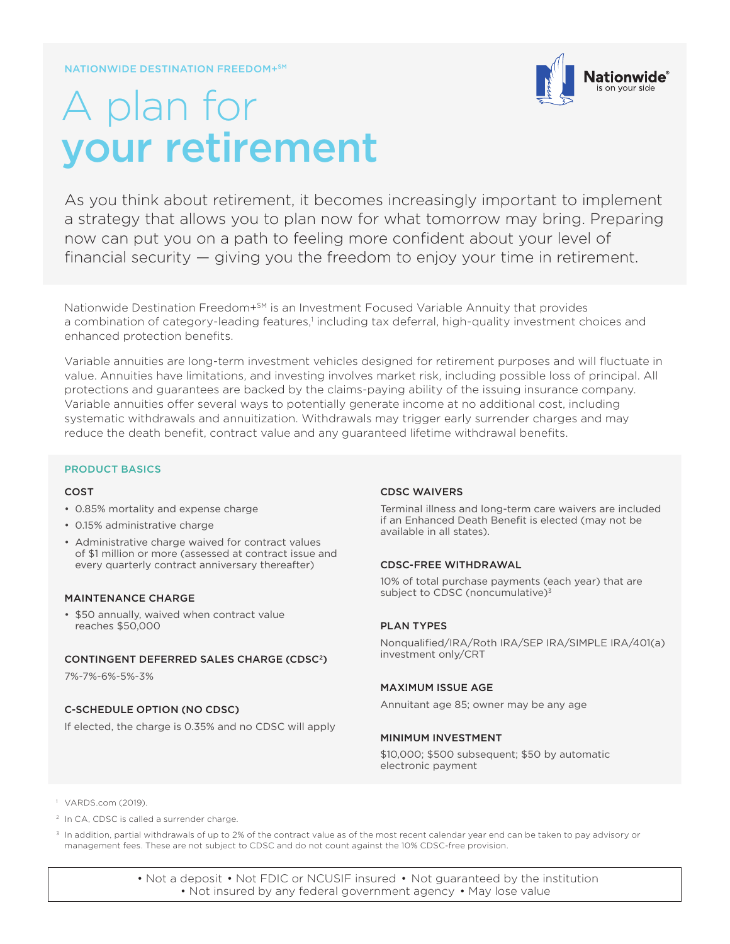

# A plan for your retirement

As you think about retirement, it becomes increasingly important to implement a strategy that allows you to plan now for what tomorrow may bring. Preparing now can put you on a path to feeling more confident about your level of financial security — giving you the freedom to enjoy your time in retirement.

Nationwide Destination Freedom+SM is an Investment Focused Variable Annuity that provides a combination of category-leading features,<sup>1</sup> including tax deferral, high-quality investment choices and enhanced protection benefits.

Variable annuities are long-term investment vehicles designed for retirement purposes and will fluctuate in value. Annuities have limitations, and investing involves market risk, including possible loss of principal. All protections and guarantees are backed by the claims-paying ability of the issuing insurance company. Variable annuities offer several ways to potentially generate income at no additional cost, including systematic withdrawals and annuitization. Withdrawals may trigger early surrender charges and may reduce the death benefit, contract value and any guaranteed lifetime withdrawal benefits.

## PRODUCT BASICS

#### COST

- 0.85% mortality and expense charge
- 0.15% administrative charge
- Administrative charge waived for contract values of \$1 million or more (assessed at contract issue and every quarterly contract anniversary thereafter)

#### MAINTENANCE CHARGE

• \$50 annually, waived when contract value reaches \$50,000

#### CONTINGENT DEFERRED SALES CHARGE (CDSC2)

7%-7%-6%-5%-3%

## C-SCHEDULE OPTION (NO CDSC)

If elected, the charge is 0.35% and no CDSC will apply

## CDSC WAIVERS

Terminal illness and long-term care waivers are included if an Enhanced Death Benefit is elected (may not be available in all states).

## CDSC-FREE WITHDRAWAL

10% of total purchase payments (each year) that are subject to CDSC (noncumulative)<sup>3</sup>

## PLAN TYPES

Nonqualified/IRA/Roth IRA/SEP IRA/SIMPLE IRA/401(a) investment only/CRT

## MAXIMUM ISSUE AGE

Annuitant age 85; owner may be any age

## MINIMUM INVESTMENT

\$10,000; \$500 subsequent; \$50 by automatic electronic payment

1 VARDS.com (2019).

<sup>2</sup> In CA, CDSC is called a surrender charge.

<sup>3</sup> In addition, partial withdrawals of up to 2% of the contract value as of the most recent calendar year end can be taken to pay advisory or management fees. These are not subject to CDSC and do not count against the 10% CDSC-free provision.

> • Not a deposit • Not FDIC or NCUSIF insured • Not guaranteed by the institution • Not insured by any federal government agency • May lose value